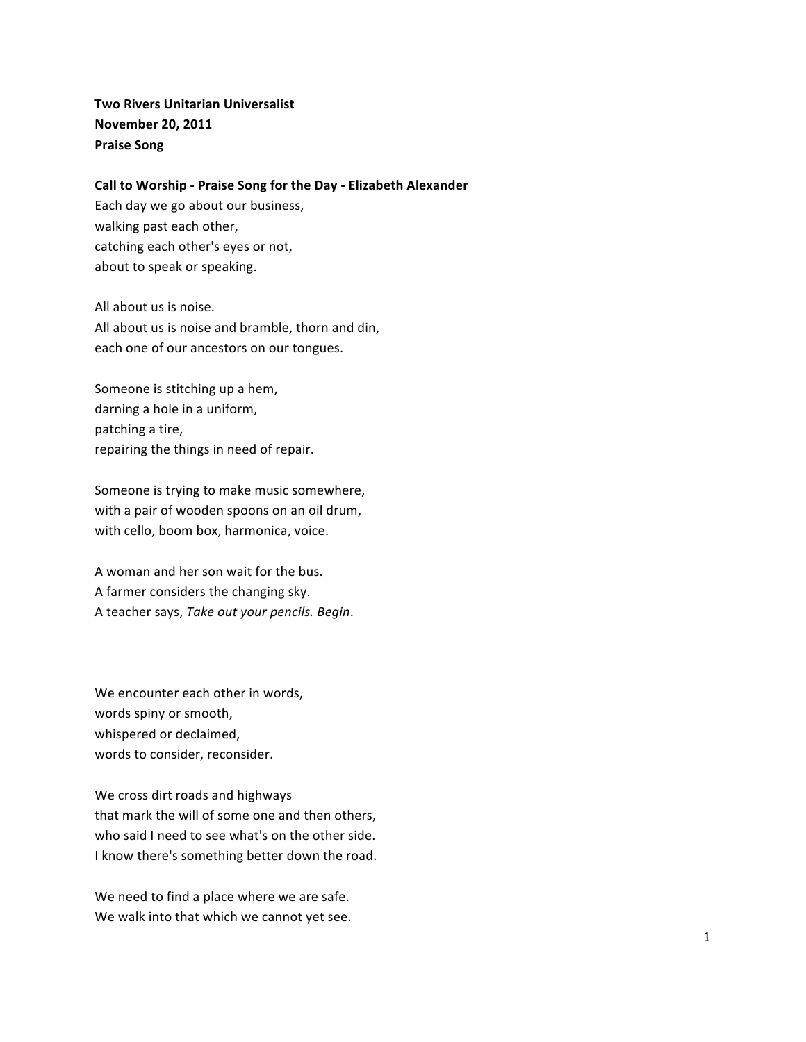**Two Rivers Unitarian Universalist November\$20,\$2011\$ Praise Song** 

#### **Call to Worship - Praise Song for the Day - Elizabeth Alexander**

Each day we go about our business, walking past each other, catching each other's eyes or not, about to speak or speaking.

All about us is noise. All about us is noise and bramble, thorn and din, each one of our ancestors on our tongues.

Someone is stitching up a hem, darning a hole in a uniform, patching a tire, repairing the things in need of repair.

Someone is trying to make music somewhere, with a pair of wooden spoons on an oil drum, with cello, boom box, harmonica, voice.

A woman and her son wait for the bus. A farmer considers the changing sky. A teacher says, Take out your pencils. Begin.

We encounter each other in words, words spiny or smooth, whispered or declaimed, words to consider, reconsider.

We cross dirt roads and highways that mark the will of some one and then others, who said I need to see what's on the other side. I know there's something better down the road.

We need to find a place where we are safe. We walk into that which we cannot yet see.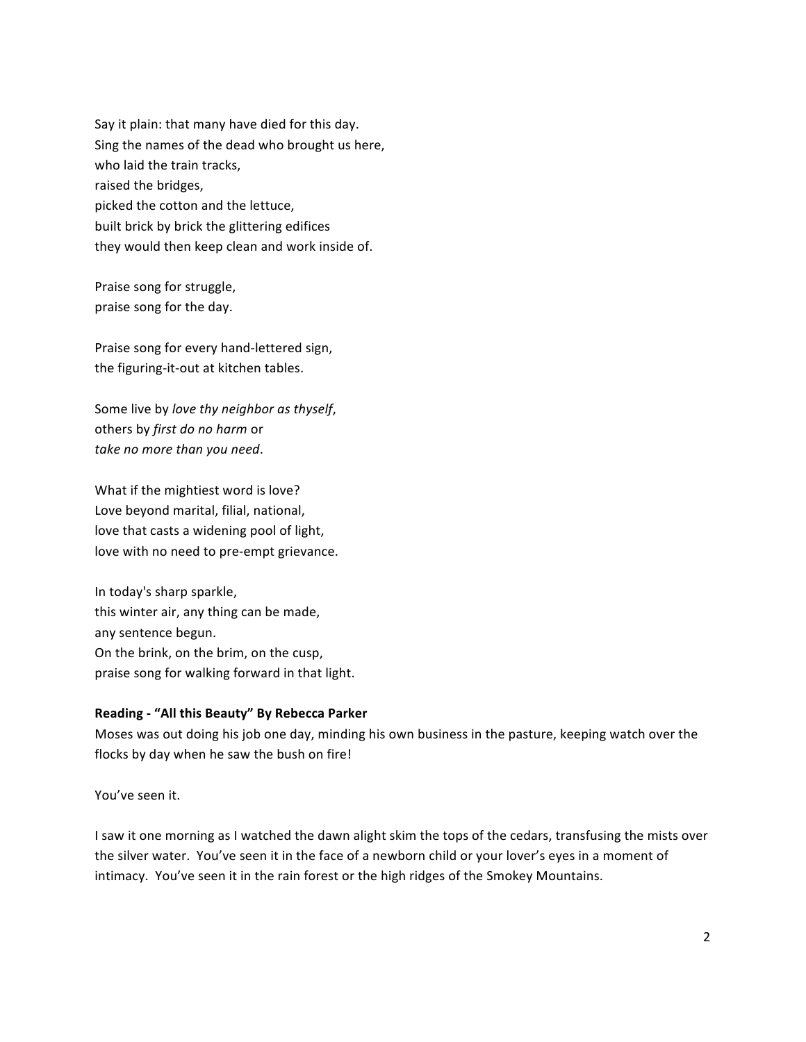Say it plain: that many have died for this day. Sing the names of the dead who brought us here, who laid the train tracks, raised the bridges, picked the cotton and the lettuce, built brick by brick the glittering edifices they would then keep clean and work inside of.

Praise song for struggle, praise song for the day.

Praise song for every hand-lettered sign, the figuring-it-out at kitchen tables.

Some live by love thy neighbor as thyself, others by *first do no harm* or take no more than you need.

What if the mightiest word is love? Love beyond marital, filial, national, love that casts a widening pool of light, love with no need to pre-empt grievance.

In today's sharp sparkle, this winter air, any thing can be made, any sentence begun. On the brink, on the brim, on the cusp, praise song for walking forward in that light.

## Reading - "All this Beauty" By Rebecca Parker

Moses was out doing his job one day, minding his own business in the pasture, keeping watch over the flocks by day when he saw the bush on fire!

You've seen it.

I saw it one morning as I watched the dawn alight skim the tops of the cedars, transfusing the mists over the silver water. You've seen it in the face of a newborn child or your lover's eyes in a moment of intimacy. You've seen it in the rain forest or the high ridges of the Smokey Mountains.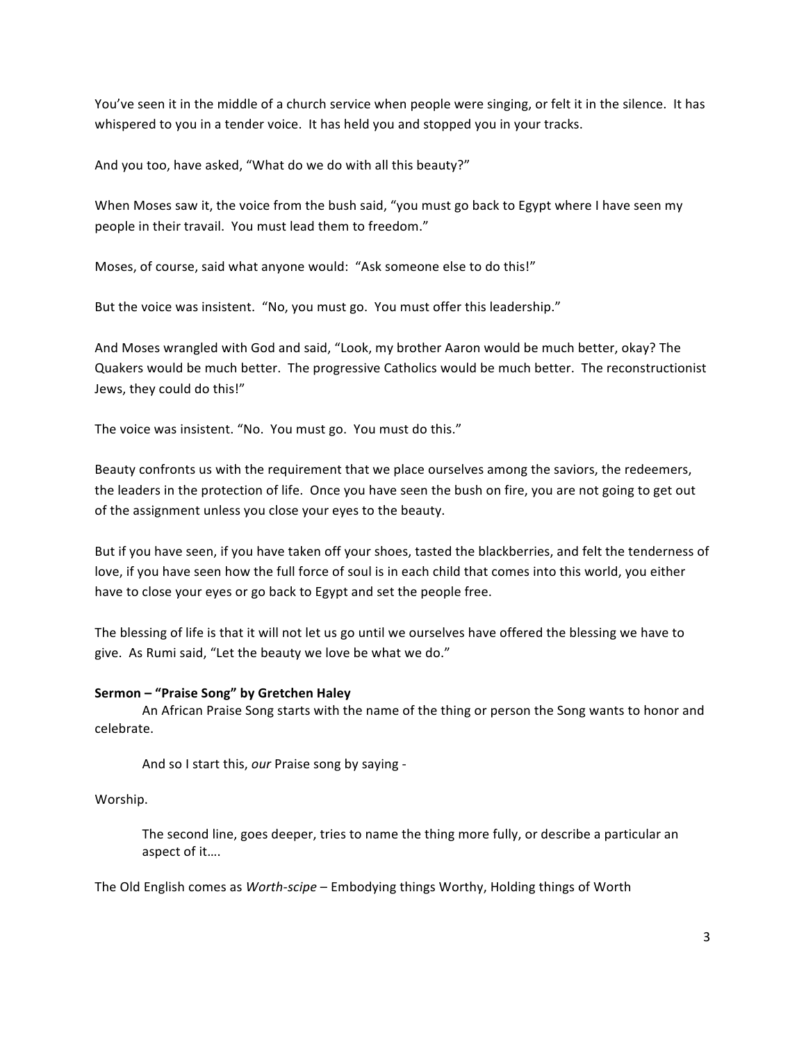You've seen it in the middle of a church service when people were singing, or felt it in the silence. It has whispered to you in a tender voice. It has held you and stopped you in your tracks.

And you too, have asked, "What do we do with all this beauty?"

When Moses saw it, the voice from the bush said, "you must go back to Egypt where I have seen my people in their travail. You must lead them to freedom."

Moses, of course, said what anyone would: "Ask someone else to do this!"

But the voice was insistent. "No, you must go. You must offer this leadership."

And Moses wrangled with God and said, "Look, my brother Aaron would be much better, okay? The Quakers would be much better. The progressive Catholics would be much better. The reconstructionist Jews, they could do this!"

The voice was insistent. "No. You must go. You must do this."

Beauty confronts us with the requirement that we place ourselves among the saviors, the redeemers, the leaders in the protection of life. Once you have seen the bush on fire, you are not going to get out of the assignment unless you close your eyes to the beauty.

But if you have seen, if you have taken off your shoes, tasted the blackberries, and felt the tenderness of love, if you have seen how the full force of soul is in each child that comes into this world, you either have to close your eyes or go back to Egypt and set the people free.

The blessing of life is that it will not let us go until we ourselves have offered the blessing we have to give. As Rumi said, "Let the beauty we love be what we do."

## Sermon – "Praise Song" by Gretchen Haley

An African Praise Song starts with the name of the thing or person the Song wants to honor and celebrate.

And so I start this, our Praise song by saying -

Worship.

The second line, goes deeper, tries to name the thing more fully, or describe a particular an aspect of it....

The Old English comes as *Worth-scipe* – Embodying things Worthy, Holding things of Worth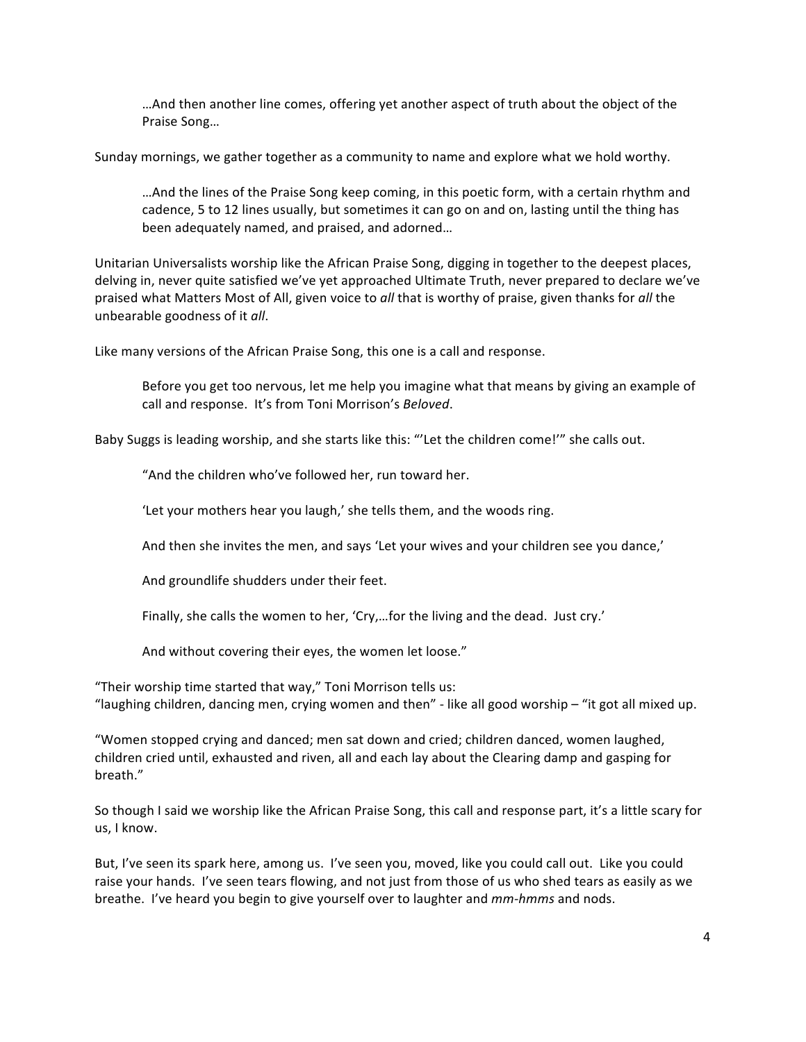…And then another line comes, offering yet another aspect of truth about the object of the Praise Song...

Sunday mornings, we gather together as a community to name and explore what we hold worthy.

…And the lines of the Praise Song keep coming, in this poetic form, with a certain rhythm and cadence, 5 to 12 lines usually, but sometimes it can go on and on, lasting until the thing has been adequately named, and praised, and adorned...

Unitarian Universalists worship like the African Praise Song, digging in together to the deepest places, delving in, never quite satisfied we've yet approached Ultimate Truth, never prepared to declare we've praised what Matters Most of All, given voice to *all* that is worthy of praise, given thanks for *all* the unbearable goodness of it *all*.

Like many versions of the African Praise Song, this one is a call and response.

Before you get too nervous, let me help you imagine what that means by giving an example of call and response. It's from Toni Morrison's Beloved.

Baby Suggs is leading worship, and she starts like this: "'Let the children come!'" she calls out.

"And the children who've followed her, run toward her.

'Let your mothers hear you laugh,' she tells them, and the woods ring.

And then she invites the men, and says 'Let your wives and your children see you dance,'

And groundlife shudders under their feet.

Finally, she calls the women to her, 'Cry,...for the living and the dead. Just cry.'

And without covering their eyes, the women let loose."

"Their worship time started that way," Toni Morrison tells us: "laughing children, dancing men, crying women and then" - like all good worship – "it got all mixed up.

"Women stopped crying and danced; men sat down and cried; children danced, women laughed, children cried until, exhausted and riven, all and each lay about the Clearing damp and gasping for breath."

So though I said we worship like the African Praise Song, this call and response part, it's a little scary for us, I know.

But, I've seen its spark here, among us. I've seen you, moved, like you could call out. Like you could raise your hands. I've seen tears flowing, and not just from those of us who shed tears as easily as we breathe. I've heard you begin to give yourself over to laughter and *mm-hmms* and nods.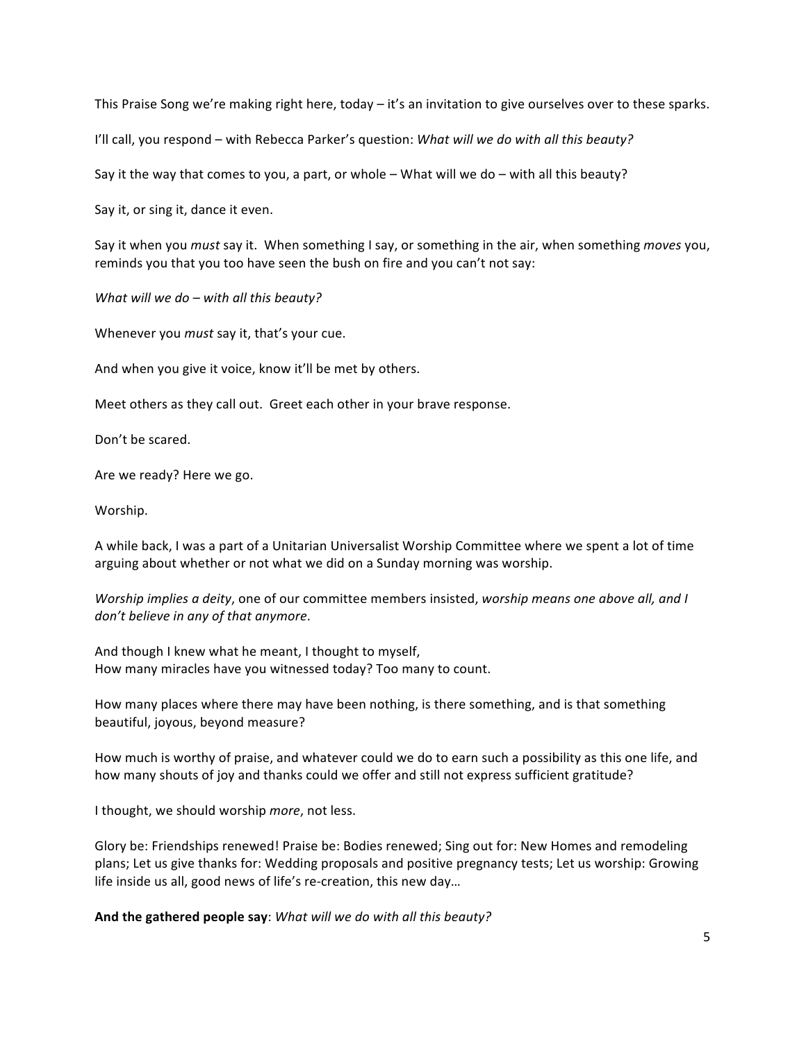This Praise Song we're making right here, today – it's an invitation to give ourselves over to these sparks.

I'll call, you respond – with Rebecca Parker's question: *What will we do with all this beauty?* 

Say it the way that comes to you, a part, or whole – What will we do – with all this beauty?

Say it, or sing it, dance it even.

Say it when you *must* say it. When something I say, or something in the air, when something *moves* you, reminds you that you too have seen the bush on fire and you can't not say:

*What will we do – with all this beauty?* 

Whenever you *must* say it, that's your cue.

And when you give it voice, know it'll be met by others.

Meet others as they call out. Greet each other in your brave response.

Don't be scared.

Are we ready? Here we go.

Worship.

A while back, I was a part of a Unitarian Universalist Worship Committee where we spent a lot of time arguing about whether or not what we did on a Sunday morning was worship.

*Worship implies a deity, one of our committee members insisted, worship means one above all, and I* don't believe in any of that anymore.

And though I knew what he meant, I thought to myself, How many miracles have you witnessed today? Too many to count.

How many places where there may have been nothing, is there something, and is that something beautiful, joyous, beyond measure?

How much is worthy of praise, and whatever could we do to earn such a possibility as this one life, and how many shouts of joy and thanks could we offer and still not express sufficient gratitude?

I thought, we should worship more, not less.

Glory be: Friendships renewed! Praise be: Bodies renewed; Sing out for: New Homes and remodeling plans; Let us give thanks for: Wedding proposals and positive pregnancy tests; Let us worship: Growing life inside us all, good news of life's re-creation, this new day...

And the gathered people say: What will we do with all this beauty?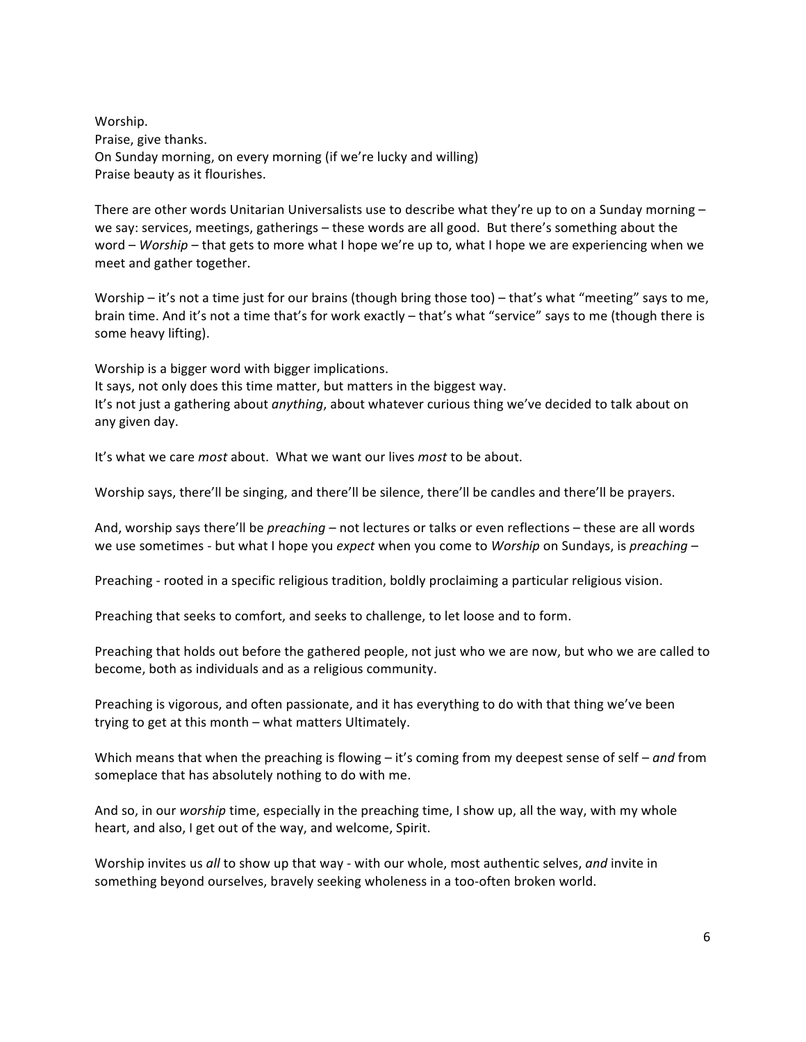Worship. Praise, give thanks. On Sunday morning, on every morning (if we're lucky and willing) Praise beauty as it flourishes.

There are other words Unitarian Universalists use to describe what they're up to on a Sunday morning – we say: services, meetings, gatherings – these words are all good. But there's something about the word – *Worship* – that gets to more what I hope we're up to, what I hope we are experiencing when we meet and gather together.

Worship – it's not a time just for our brains (though bring those too) – that's what "meeting" says to me, brain time. And it's not a time that's for work exactly – that's what "service" says to me (though there is some heavy lifting).

Worship is a bigger word with bigger implications.

It says, not only does this time matter, but matters in the biggest way.

It's not just a gathering about *anything*, about whatever curious thing we've decided to talk about on any given day.

It's what we care *most* about. What we want our lives *most* to be about.

Worship says, there'll be singing, and there'll be silence, there'll be candles and there'll be prayers.

And, worship says there'll be *preaching* – not lectures or talks or even reflections – these are all words we use sometimes - but what I hope you *expect* when you come to *Worship* on Sundays, is *preaching* –

Preaching - rooted in a specific religious tradition, boldly proclaiming a particular religious vision.

Preaching that seeks to comfort, and seeks to challenge, to let loose and to form.

Preaching that holds out before the gathered people, not just who we are now, but who we are called to become, both as individuals and as a religious community.

Preaching is vigorous, and often passionate, and it has everything to do with that thing we've been trying to get at this month – what matters Ultimately.

Which means that when the preaching is flowing – it's coming from my deepest sense of self – *and* from someplace that has absolutely nothing to do with me.

And so, in our worship time, especially in the preaching time, I show up, all the way, with my whole heart, and also, I get out of the way, and welcome, Spirit.

Worship invites us all to show up that way - with our whole, most authentic selves, and invite in something beyond ourselves, bravely seeking wholeness in a too-often broken world.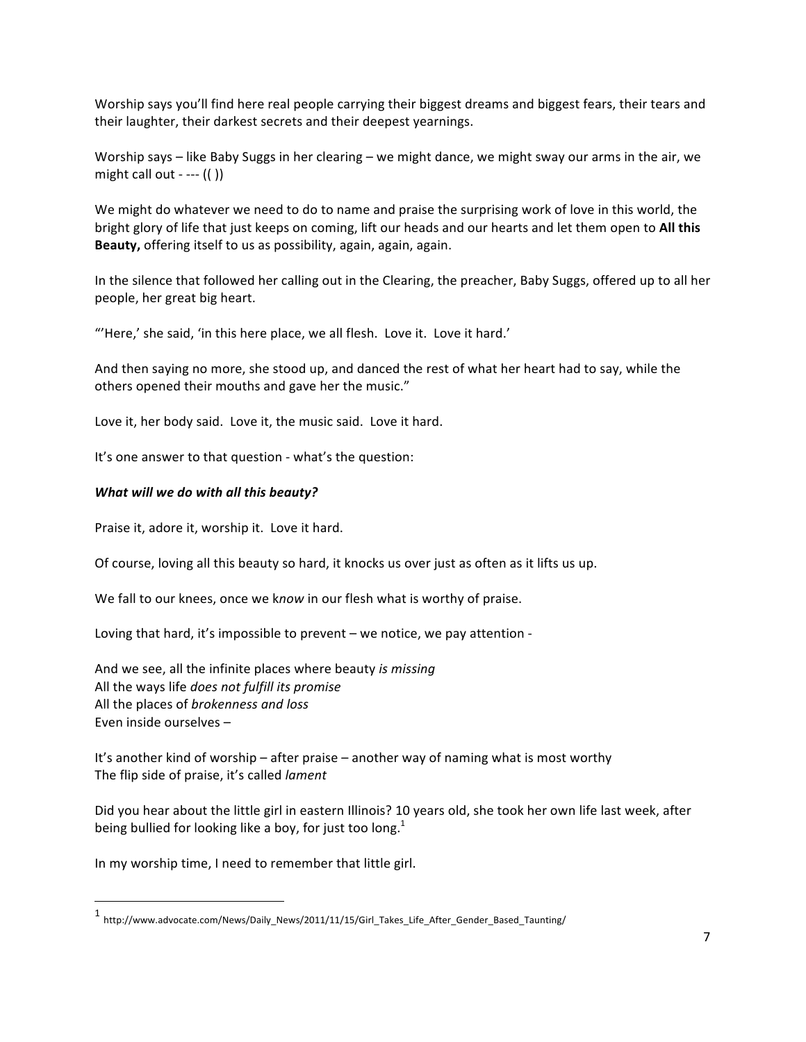Worship says you'll find here real people carrying their biggest dreams and biggest fears, their tears and their laughter, their darkest secrets and their deepest yearnings.

Worship says – like Baby Suggs in her clearing – we might dance, we might sway our arms in the air, we might call out - ---  $(( ))$ 

We might do whatever we need to do to name and praise the surprising work of love in this world, the bright glory of life that just keeps on coming, lift our heads and our hearts and let them open to All this Beauty, offering itself to us as possibility, again, again, again.

In the silence that followed her calling out in the Clearing, the preacher, Baby Suggs, offered up to all her people, her great big heart.

"'Here,' she said, 'in this here place, we all flesh. Love it. Love it hard.'

And then saying no more, she stood up, and danced the rest of what her heart had to say, while the others opened their mouths and gave her the music."

Love it, her body said. Love it, the music said. Love it hard.

It's one answer to that question - what's the question:

### **What will we do with all this beauty?**

Praise it, adore it, worship it. Love it hard.

Of course, loving all this beauty so hard, it knocks us over just as often as it lifts us up.

We fall to our knees, once we know in our flesh what is worthy of praise.

Loving that hard, it's impossible to prevent – we notice, we pay attention -

And we see, all the infinite places where beauty *is missing* All the ways life does not fulfill its promise All the places of *brokenness and loss* Even inside ourselves -

It's another kind of worship – after praise – another way of naming what is most worthy The flip side of praise, it's called *lament* 

Did you hear about the little girl in eastern Illinois? 10 years old, she took her own life last week, after being bullied for looking like a boy, for just too long.<sup>1</sup>

In my worship time, I need to remember that little girl.

""""""""""""""""""""""""""""""""""""""""""""""""""""""""""""

<sup>1</sup> http://www.advocate.com/News/Daily\_News/2011/11/15/Girl\_Takes\_Life\_After\_Gender\_Based\_Taunting/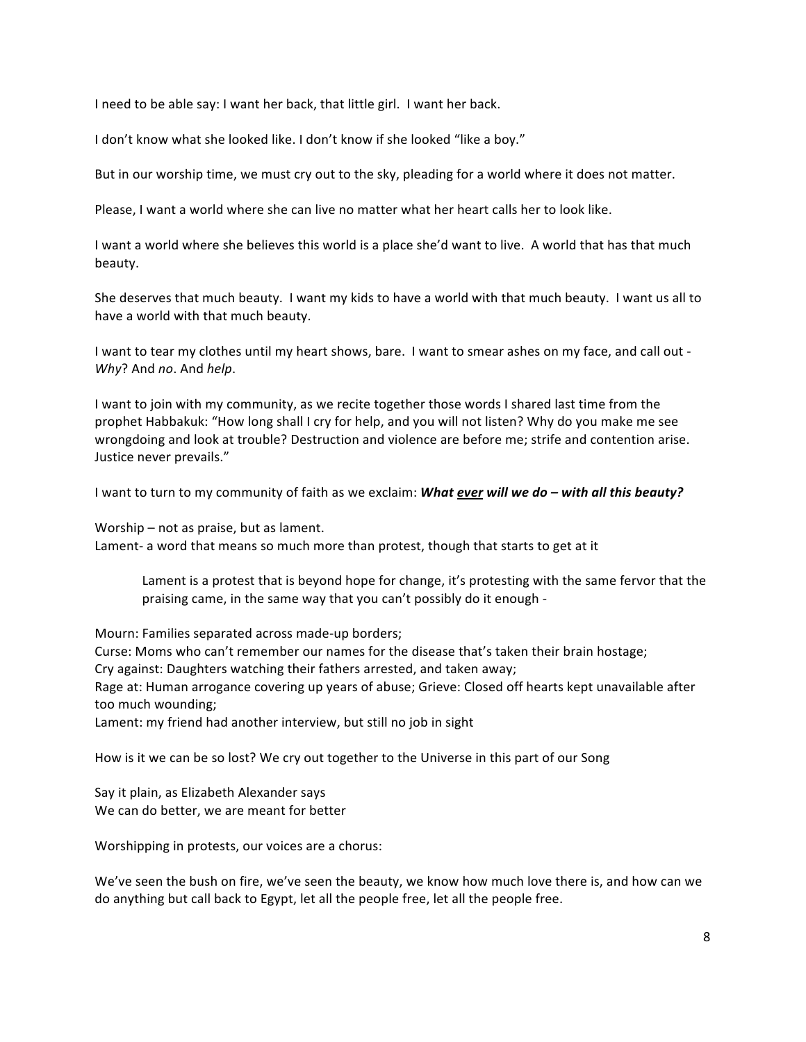I need to be able say: I want her back, that little girl. I want her back.

I don't know what she looked like. I don't know if she looked "like a boy."

But in our worship time, we must cry out to the sky, pleading for a world where it does not matter.

Please, I want a world where she can live no matter what her heart calls her to look like.

I want a world where she believes this world is a place she'd want to live. A world that has that much beauty.

She deserves that much beauty. I want my kids to have a world with that much beauty. I want us all to have a world with that much beauty.

I want to tear my clothes until my heart shows, bare. I want to smear ashes on my face, and call out -*Why?* And *no*. And *help*.

I want to join with my community, as we recite together those words I shared last time from the prophet Habbakuk: "How long shall I cry for help, and you will not listen? Why do you make me see wrongdoing and look at trouble? Destruction and violence are before me; strife and contention arise. Justice never prevails."

I want to turn to my community of faith as we exclaim: **What ever will we do – with all this beauty?** 

Worship – not as praise, but as lament.

Lament- a word that means so much more than protest, though that starts to get at it

Lament is a protest that is beyond hope for change, it's protesting with the same fervor that the praising came, in the same way that you can't possibly do it enough -

Mourn: Families separated across made-up borders; Curse: Moms who can't remember our names for the disease that's taken their brain hostage; Cry against: Daughters watching their fathers arrested, and taken away; Rage at: Human arrogance covering up years of abuse; Grieve: Closed off hearts kept unavailable after too much wounding; Lament: my friend had another interview, but still no job in sight

How is it we can be so lost? We cry out together to the Universe in this part of our Song

Say it plain, as Elizabeth Alexander says We can do better, we are meant for better

Worshipping in protests, our voices are a chorus:

We've seen the bush on fire, we've seen the beauty, we know how much love there is, and how can we do anything but call back to Egypt, let all the people free, let all the people free.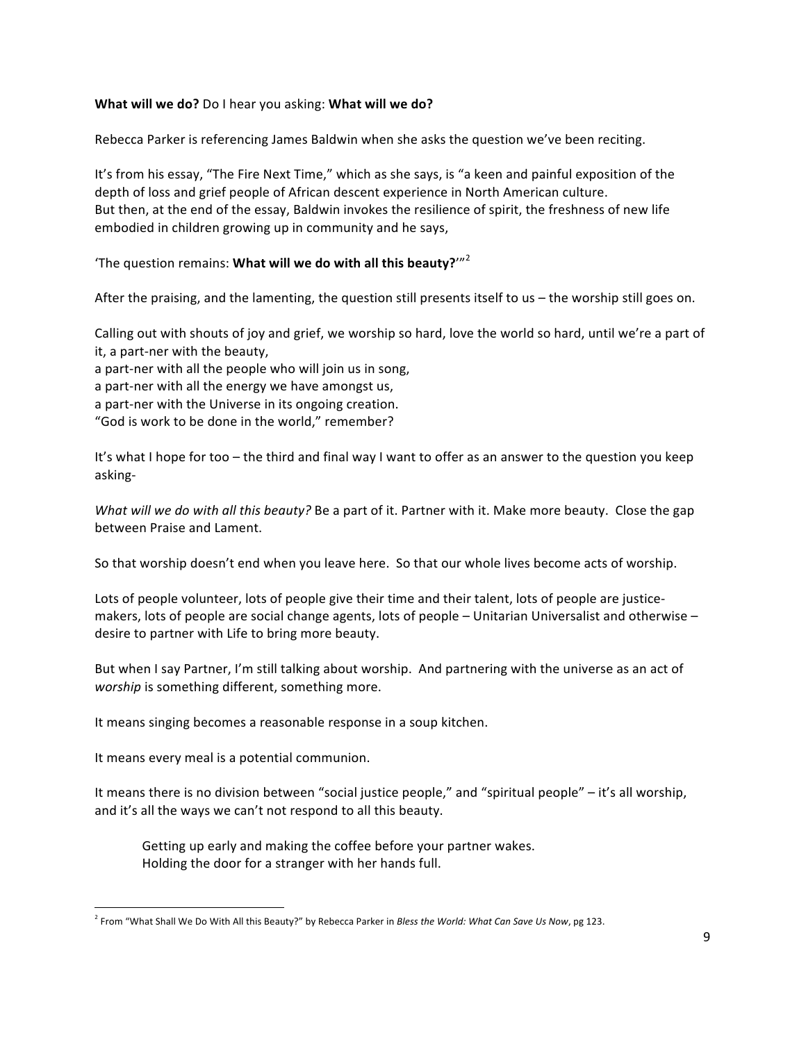### **What will we do?** Do I hear you asking: What will we do?

Rebecca Parker is referencing James Baldwin when she asks the question we've been reciting.

It's from his essay, "The Fire Next Time," which as she says, is "a keen and painful exposition of the depth of loss and grief people of African descent experience in North American culture. But then, at the end of the essay, Baldwin invokes the resilience of spirit, the freshness of new life embodied in children growing up in community and he says,

'The question remains: What will we do with all this beauty?'"<sup>2</sup>

After the praising, and the lamenting, the question still presents itself to us – the worship still goes on.

Calling out with shouts of joy and grief, we worship so hard, love the world so hard, until we're a part of it, a part-ner with the beauty,

a part-ner with all the people who will join us in song,

a part-ner with all the energy we have amongst us,

a part-ner with the Universe in its ongoing creation.

"God is work to be done in the world." remember?

It's what I hope for too – the third and final way I want to offer as an answer to the question you keep" asking-

*What will we do with all this beauty?* Be a part of it. Partner with it. Make more beauty. Close the gap between Praise and Lament.

So that worship doesn't end when you leave here. So that our whole lives become acts of worship.

Lots of people volunteer, lots of people give their time and their talent, lots of people are justicemakers, lots of people are social change agents, lots of people – Unitarian Universalist and otherwise – desire to partner with Life to bring more beauty.

But when I say Partner, I'm still talking about worship. And partnering with the universe as an act of *worship* is something different, something more.

It means singing becomes a reasonable response in a soup kitchen.

It means every meal is a potential communion.

""""""""""""""""""""""""""""""""""""""""""""""""""""""""""""

It means there is no division between "social justice people," and "spiritual people" – it's all worship, and it's all the ways we can't not respond to all this beauty.

Getting up early and making the coffee before your partner wakes. Holding the door for a stranger with her hands full.

<sup>&</sup>lt;sup>2</sup> From "What Shall We Do With All this Beauty?" by Rebecca Parker in *Bless the World: What Can Save Us Now*, pg 123.